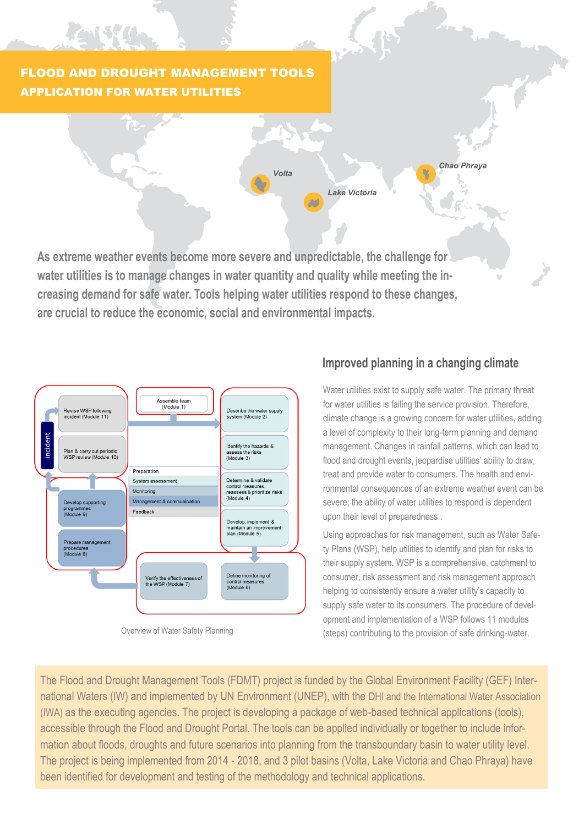# FLOOD AND DROUGHT MANAGEMENT TOOLS APPLICATION FOR WATER UTILITIES

Zuissen.

*Chao Phraya Volta Lake Victoria*  $\sim$ 

**As extreme weather events become more severe and unpredictable, the challenge for water utilities is to manage changes in water quantity and quality while meeting the increasing demand for safe water. Tools helping water utilities respond to these changes, are crucial to reduce the economic, social and environmental impacts.**



Overview of Water Safety Planning

## **Improved planning in a changing climate**

Water utilities exist to supply safe water. The primary threat for water utilities is failing the service provision. Therefore, climate change is a growing concern for water utilities, adding a level of complexity to their long-term planning and demand management. Changes in rainfall patterns, which can lead to flood and drought events, jeopardise utilities' ability to draw, treat and provide water to consumers. The health and environmental consequences of an extreme weather event can be severe; the ability of water utilities to respond is dependent upon their level of preparedness .

Using approaches for risk management, such as Water Safety Plans (WSP), help utilities to identify and plan for risks to their supply system. WSP is a comprehensive, catchment to consumer, risk assessment and risk management approach helping to consistently ensure a water utility's capacity to supply safe water to its consumers. The procedure of development and implementation of a WSP follows 11 modules (steps) contributing to the provision of safe drinking-water.

The Flood and Drought Management Tools (FDMT) project is funded by the Global Environment Facility (GEF) International Waters (IW) and implemented by UN Environment (UNEP), with the DHI and the International Water Association (IWA) as the executing agencies. The project is developing a package of web-based technical applications (tools), accessible through the Flood and Drought Portal. The tools can be applied individually or together to include information about floods, droughts and future scenarios into planning from the transboundary basin to water utility level. The project is being implemented from 2014 - 2018, and 3 pilot basins (Volta, Lake Victoria and Chao Phraya) have been identified for development and testing of the methodology and technical applications.